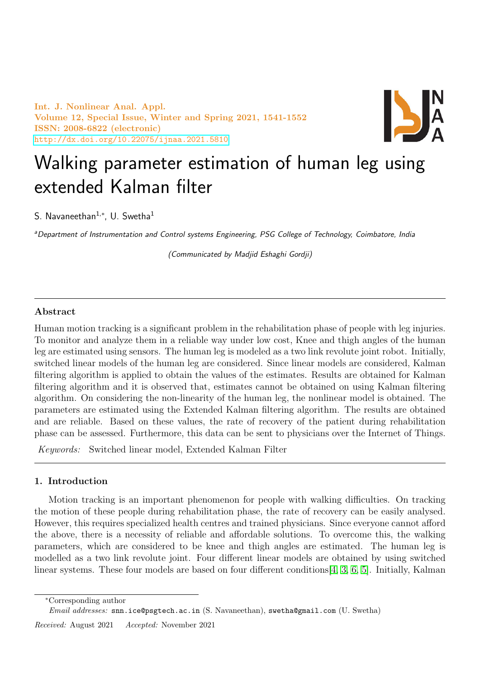Int. J. Nonlinear Anal. Appl. Volume 12, Special Issue, Winter and Spring 2021, 1541-1552 ISSN: 2008-6822 (electronic) <http://dx.doi.org/10.22075/ijnaa.2021.5810>



# Walking parameter estimation of human leg using extended Kalman filter

S. Navaneethan $^{1,\ast}$ , U. Swetha $^1$ 

aDepartment of Instrumentation and Control systems Engineering, PSG College of Technology, Coimbatore, India

(Communicated by Madjid Eshaghi Gordji)

## Abstract

Human motion tracking is a significant problem in the rehabilitation phase of people with leg injuries. To monitor and analyze them in a reliable way under low cost, Knee and thigh angles of the human leg are estimated using sensors. The human leg is modeled as a two link revolute joint robot. Initially, switched linear models of the human leg are considered. Since linear models are considered, Kalman filtering algorithm is applied to obtain the values of the estimates. Results are obtained for Kalman filtering algorithm and it is observed that, estimates cannot be obtained on using Kalman filtering algorithm. On considering the non-linearity of the human leg, the nonlinear model is obtained. The parameters are estimated using the Extended Kalman filtering algorithm. The results are obtained and are reliable. Based on these values, the rate of recovery of the patient during rehabilitation phase can be assessed. Furthermore, this data can be sent to physicians over the Internet of Things.

Keywords: Switched linear model, Extended Kalman Filter

## 1. Introduction

Motion tracking is an important phenomenon for people with walking difficulties. On tracking the motion of these people during rehabilitation phase, the rate of recovery can be easily analysed. However, this requires specialized health centres and trained physicians. Since everyone cannot afford the above, there is a necessity of reliable and affordable solutions. To overcome this, the walking parameters, which are considered to be knee and thigh angles are estimated. The human leg is modelled as a two link revolute joint. Four different linear models are obtained by using switched linear systems. These four models are based on four different conditions[\[4,](#page-11-0) [3,](#page-11-1) [6,](#page-11-2) [5\]](#page-11-3). Initially, Kalman

<sup>∗</sup>Corresponding author

Email addresses: snn.ice@psgtech.ac.in (S. Navaneethan), swetha@gmail.com (U. Swetha)

Received: August 2021 Accepted: November 2021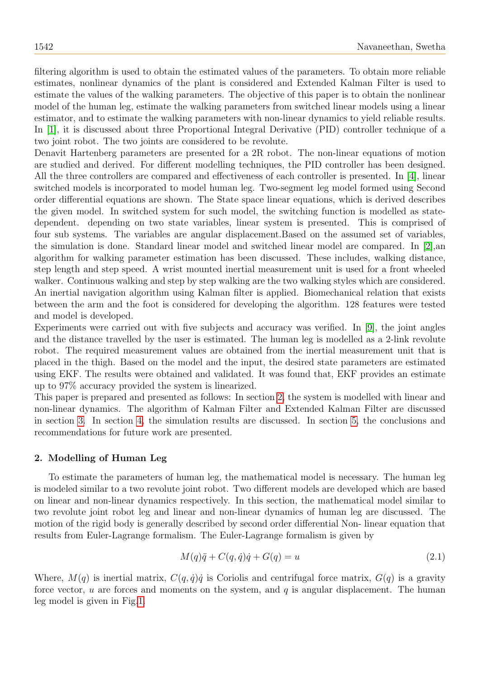filtering algorithm is used to obtain the estimated values of the parameters. To obtain more reliable estimates, nonlinear dynamics of the plant is considered and Extended Kalman Filter is used to estimate the values of the walking parameters. The objective of this paper is to obtain the nonlinear model of the human leg, estimate the walking parameters from switched linear models using a linear estimator, and to estimate the walking parameters with non-linear dynamics to yield reliable results. In [\[1\]](#page-11-4), it is discussed about three Proportional Integral Derivative (PID) controller technique of a two joint robot. The two joints are considered to be revolute.

Denavit Hartenberg parameters are presented for a 2R robot. The non-linear equations of motion are studied and derived. For different modelling techniques, the PID controller has been designed. All the three controllers are compared and effectiveness of each controller is presented. In [\[4\]](#page-11-0), linear switched models is incorporated to model human leg. Two-segment leg model formed using Second order differential equations are shown. The State space linear equations, which is derived describes the given model. In switched system for such model, the switching function is modelled as statedependent. depending on two state variables, linear system is presented. This is comprised of four sub systems. The variables are angular displacement.Based on the assumed set of variables, the simulation is done. Standard linear model and switched linear model are compared. In [\[2\]](#page-11-5),an algorithm for walking parameter estimation has been discussed. These includes, walking distance, step length and step speed. A wrist mounted inertial measurement unit is used for a front wheeled walker. Continuous walking and step by step walking are the two walking styles which are considered. An inertial navigation algorithm using Kalman filter is applied. Biomechanical relation that exists between the arm and the foot is considered for developing the algorithm. 128 features were tested and model is developed.

Experiments were carried out with five subjects and accuracy was verified. In [\[9\]](#page-11-6), the joint angles and the distance travelled by the user is estimated. The human leg is modelled as a 2-link revolute robot. The required measurement values are obtained from the inertial measurement unit that is placed in the thigh. Based on the model and the input, the desired state parameters are estimated using EKF. The results were obtained and validated. It was found that, EKF provides an estimate up to 97% accuracy provided the system is linearized.

This paper is prepared and presented as follows: In section [2,](#page-1-0) the system is modelled with linear and non-linear dynamics. The algorithm of Kalman Filter and Extended Kalman Filter are discussed in section [3.](#page-5-0) In section [4,](#page-7-0) the simulation results are discussed. In section [5,](#page-11-7) the conclusions and recommendations for future work are presented.

## <span id="page-1-0"></span>2. Modelling of Human Leg

To estimate the parameters of human leg, the mathematical model is necessary. The human leg is modeled similar to a two revolute joint robot. Two different models are developed which are based on linear and non-linear dynamics respectively. In this section, the mathematical model similar to two revolute joint robot leg and linear and non-linear dynamics of human leg are discussed. The motion of the rigid body is generally described by second order differential Non- linear equation that results from Euler-Lagrange formalism. The Euler-Lagrange formalism is given by

<span id="page-1-1"></span>
$$
M(q)\ddot{q} + C(q, \dot{q})\dot{q} + G(q) = u \tag{2.1}
$$

Where,  $M(q)$  is inertial matrix,  $C(q, \dot{q})\dot{q}$  is Coriolis and centrifugal force matrix,  $G(q)$  is a gravity force vector,  $u$  are forces and moments on the system, and  $q$  is angular displacement. The human leg model is given in Fig[.1.](#page-2-0)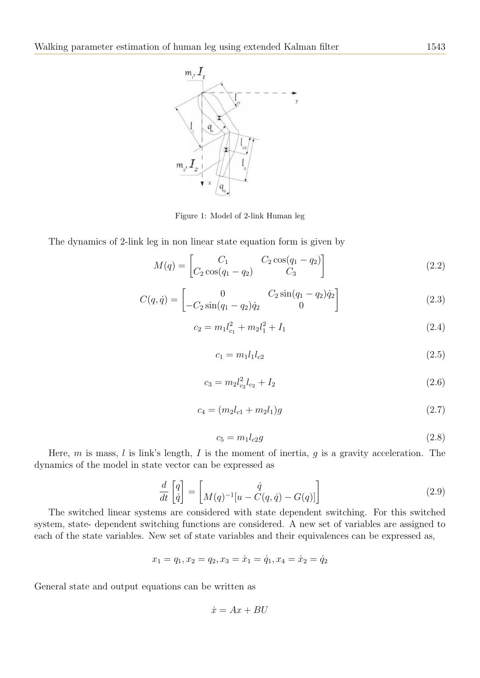

<span id="page-2-0"></span>Figure 1: Model of 2-link Human leg

The dynamics of 2-link leg in non linear state equation form is given by

$$
M(q) = \begin{bmatrix} C_1 & C_2 \cos(q_1 - q_2) \\ C_2 \cos(q_1 - q_2) & C_3 \end{bmatrix}
$$
 (2.2)

$$
C(q, \dot{q}) = \begin{bmatrix} 0 & C_2 \sin(q_1 - q_2)\dot{q}_2 \\ -C_2 \sin(q_1 - q_2)\dot{q}_2 & 0 \end{bmatrix}
$$
(2.3)

$$
c_2 = m_1 l_{c_1}^2 + m_2 l_1^2 + I_1 \tag{2.4}
$$

$$
c_1 = m_1 l_1 l_{c2} \tag{2.5}
$$

$$
c_3 = m_2 l_{c_2}^2 l_{c_2} + I_2 \tag{2.6}
$$

$$
c_4 = (m_2 l_{c1} + m_2 l_1)g \tag{2.7}
$$

$$
c_5 = m_1 l_{c2} g \tag{2.8}
$$

Here, m is mass, l is link's length, I is the moment of inertia, q is a gravity acceleration. The dynamics of the model in state vector can be expressed as

$$
\frac{d}{dt}\begin{bmatrix} q \\ \dot{q} \end{bmatrix} = \begin{bmatrix} \dot{q} \\ M(q)^{-1}[u - C(q, \dot{q}) - G(q)] \end{bmatrix}
$$
\n(2.9)

The switched linear systems are considered with state dependent switching. For this switched system, state- dependent switching functions are considered. A new set of variables are assigned to each of the state variables. New set of state variables and their equivalences can be expressed as,

$$
x_1 = q_1, x_2 = q_2, x_3 = \dot{x}_1 = \dot{q}_1, x_4 = \dot{x}_2 = \dot{q}_2
$$

General state and output equations can be written as

$$
\dot{x} = Ax + BU
$$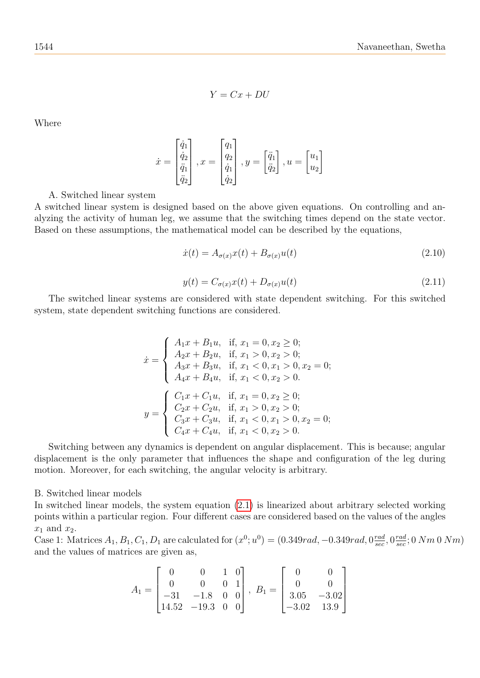$$
Y = Cx + DU
$$

Where

$$
\dot{x} = \begin{bmatrix} \dot{q}_1 \\ \dot{q}_2 \\ \ddot{q}_1 \\ \ddot{q}_2 \end{bmatrix}, x = \begin{bmatrix} q_1 \\ q_2 \\ \dot{q}_1 \\ \dot{q}_2 \end{bmatrix}, y = \begin{bmatrix} \ddot{q}_1 \\ \ddot{q}_2 \end{bmatrix}, u = \begin{bmatrix} u_1 \\ u_2 \end{bmatrix}
$$

A. Switched linear system

A switched linear system is designed based on the above given equations. On controlling and analyzing the activity of human leg, we assume that the switching times depend on the state vector. Based on these assumptions, the mathematical model can be described by the equations,

$$
\dot{x}(t) = A_{\sigma(x)}x(t) + B_{\sigma(x)}u(t) \tag{2.10}
$$

$$
y(t) = C_{\sigma(x)}x(t) + D_{\sigma(x)}u(t)
$$
\n(2.11)

The switched linear systems are considered with state dependent switching. For this switched system, state dependent switching functions are considered.

$$
\dot{x} = \begin{cases}\nA_1x + B_1u, & \text{if, } x_1 = 0, x_2 \ge 0; \\
A_2x + B_2u, & \text{if, } x_1 > 0, x_2 > 0; \\
A_3x + B_3u, & \text{if, } x_1 < 0, x_1 > 0, x_2 = 0; \\
A_4x + B_4u, & \text{if, } x_1 < 0, x_2 > 0.\n\end{cases}
$$
\n
$$
y = \begin{cases}\nC_1x + C_1u, & \text{if, } x_1 = 0, x_2 \ge 0; \\
C_2x + C_2u, & \text{if, } x_1 > 0, x_2 > 0; \\
C_3x + C_3u, & \text{if, } x_1 < 0, x_1 > 0, x_2 = 0; \\
C_4x + C_4u, & \text{if, } x_1 < 0, x_2 > 0.\n\end{cases}
$$

Switching between any dynamics is dependent on angular displacement. This is because; angular displacement is the only parameter that influences the shape and configuration of the leg during motion. Moreover, for each switching, the angular velocity is arbitrary.

B. Switched linear models

In switched linear models, the system equation [\(2.1\)](#page-1-1) is linearized about arbitrary selected working points within a particular region. Four different cases are considered based on the values of the angles  $x_1$  and  $x_2$ .

Case 1: Matrices  $A_1, B_1, C_1, D_1$  are calculated for  $(x^0; u^0) = (0.349rad, -0.349rad, 0.0016)$  $\frac{rad}{sec}, 0 \frac{rad}{sec}$  $\frac{rad}{sec}$ ; 0  $Nm$  0  $Nm)$ and the values of matrices are given as,

$$
A_1 = \begin{bmatrix} 0 & 0 & 1 & 0 \\ 0 & 0 & 0 & 1 \\ -31 & -1.8 & 0 & 0 \\ 14.52 & -19.3 & 0 & 0 \end{bmatrix}, B_1 = \begin{bmatrix} 0 & 0 \\ 0 & 0 \\ 3.05 & -3.02 \\ -3.02 & 13.9 \end{bmatrix}
$$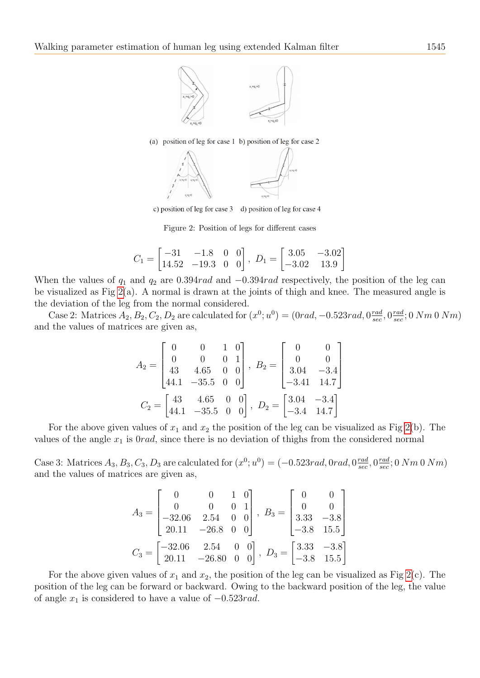

(a) position of leg for case 1 b) position of leg for case 2



c) position of leg for case 3 d) position of leg for case 4

<span id="page-4-0"></span>Figure 2: Position of legs for different cases

$$
C_1 = \begin{bmatrix} -31 & -1.8 & 0 & 0 \\ 14.52 & -19.3 & 0 & 0 \end{bmatrix}, \ D_1 = \begin{bmatrix} 3.05 & -3.02 \\ -3.02 & 13.9 \end{bmatrix}
$$

When the values of  $q_1$  and  $q_2$  are 0.394rad and  $-0.394$ rad respectively, the position of the leg can be visualized as Fig [2\(](#page-4-0)a). A normal is drawn at the joints of thigh and knee. The measured angle is the deviation of the leg from the normal considered.

Case 2: Matrices  $A_2, B_2, C_2, D_2$  are calculated for  $(x^0; u^0) = (0rad, -0.523rad, 0 \frac{rad}{sec})$  $\frac{rad}{sec}, 0 \frac{rad}{sec}$  $\frac{rad}{sec}$ ; 0  $Nm$  0  $Nm)$ and the values of matrices are given as,

$$
A_2 = \begin{bmatrix} 0 & 0 & 1 & 0 \\ 0 & 0 & 0 & 1 \\ 43 & 4.65 & 0 & 0 \\ 44.1 & -35.5 & 0 & 0 \end{bmatrix}, B_2 = \begin{bmatrix} 0 & 0 \\ 0 & 0 \\ 3.04 & -3.4 \\ -3.41 & 14.7 \end{bmatrix}
$$

$$
C_2 = \begin{bmatrix} 43 & 4.65 & 0 & 0 \\ 44.1 & -35.5 & 0 & 0 \end{bmatrix}, D_2 = \begin{bmatrix} 3.04 & -3.4 \\ -3.4 & 14.7 \end{bmatrix}
$$

For the above given values of  $x_1$  and  $x_2$  the position of the leg can be visualized as Fig [2\(](#page-4-0)b). The values of the angle  $x_1$  is  $0rad$ , since there is no deviation of thighs from the considered normal

Case 3: Matrices  $A_3, B_3, C_3, D_3$  are calculated for  $(x^0; u^0) = (-0.523 \text{rad}, 0 \text{rad}, 0 \frac{\text{rad}}{\text{sec}})$  $\frac{rad}{sec}, 0 \frac{rad}{sec}$  $\frac{rad}{sec}$ ; 0  $Nm$  0  $Nm)$ and the values of matrices are given as,

$$
A_3 = \begin{bmatrix} 0 & 0 & 1 & 0 \\ 0 & 0 & 0 & 1 \\ -32.06 & 2.54 & 0 & 0 \\ 20.11 & -26.8 & 0 & 0 \end{bmatrix}, B_3 = \begin{bmatrix} 0 & 0 \\ 0 & 0 \\ 3.33 & -3.8 \\ -3.8 & 15.5 \end{bmatrix}
$$

$$
C_3 = \begin{bmatrix} -32.06 & 2.54 & 0 & 0 \\ 20.11 & -26.80 & 0 & 0 \end{bmatrix}, D_3 = \begin{bmatrix} 3.33 & -3.8 \\ -3.8 & 15.5 \end{bmatrix}
$$

For the above given values of  $x_1$  and  $x_2$ , the position of the leg can be visualized as Fig [2\(](#page-4-0)c). The position of the leg can be forward or backward. Owing to the backward position of the leg, the value of angle  $x_1$  is considered to have a value of  $-0.523rad$ .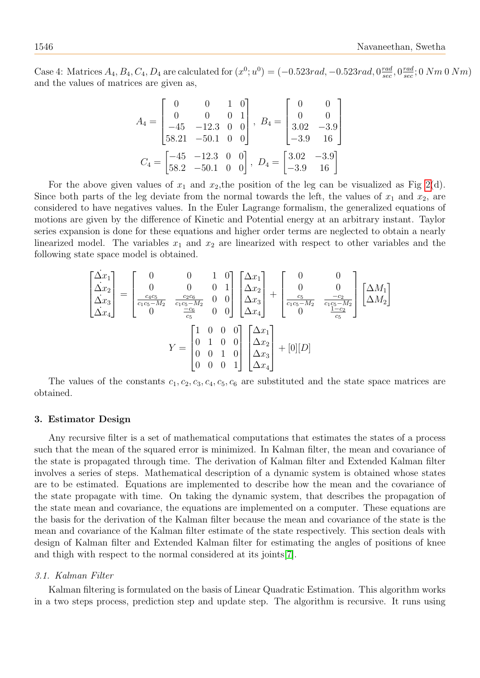Case 4: Matrices  $A_4, B_4, C_4, D_4$  are calculated for  $(x^0; u^0) = (-0.523rad, -0.523rad, 0.001)$  $\frac{rad}{sec}, 0 \frac{rad}{sec}$  $\frac{rad}{sec}$ ; 0  $Nm$  0  $Nm)$ and the values of matrices are given as,

$$
A_4 = \begin{bmatrix} 0 & 0 & 1 & 0 \\ 0 & 0 & 0 & 1 \\ -45 & -12.3 & 0 & 0 \\ 58.21 & -50.1 & 0 & 0 \end{bmatrix}, B_4 = \begin{bmatrix} 0 & 0 \\ 0 & 0 \\ 3.02 & -3.9 \\ -3.9 & 16 \end{bmatrix}
$$

$$
C_4 = \begin{bmatrix} -45 & -12.3 & 0 & 0 \\ 58.2 & -50.1 & 0 & 0 \end{bmatrix}, D_4 = \begin{bmatrix} 3.02 & -3.9 \\ -3.9 & 16 \end{bmatrix}
$$

For the above given values of  $x_1$  and  $x_2$ , the position of the leg can be visualized as Fig [2\(](#page-4-0)d). Since both parts of the leg deviate from the normal towards the left, the values of  $x_1$  and  $x_2$ , are considered to have negatives values. In the Euler Lagrange formalism, the generalized equations of motions are given by the difference of Kinetic and Potential energy at an arbitrary instant. Taylor series expansion is done for these equations and higher order terms are neglected to obtain a nearly linearized model. The variables  $x_1$  and  $x_2$  are linearized with respect to other variables and the following state space model is obtained.

$$
\begin{bmatrix}\n\dot{\Delta}x_{1} \\
\dot{\Delta}x_{2} \\
\dot{\Delta}x_{3} \\
\dot{\Delta}x_{4}\n\end{bmatrix} = \begin{bmatrix}\n0 & 0 & 1 & 0 \\
0 & 0 & 0 & 1 \\
\frac{c_{4}c_{5}}{c_{1}c_{5}-M_{2}} & \frac{c_{2}c_{6}}{c_{1}c_{5}-M_{2}} & 0 & 0 \\
0 & 0 & 0 & 0 & \Delta x_{3} \\
0 & 0 & \frac{-c_{6}}{c_{5}} & 0 & 0\n\end{bmatrix} \begin{bmatrix}\n\Delta x_{1} \\
\Delta x_{2} \\
\Delta x_{3} \\
\Delta x_{4}\n\end{bmatrix} + \begin{bmatrix}\n0 & 0 \\
0 & 0 \\
\frac{c_{5}}{c_{1}c_{5}-M_{2}} & \frac{-c_{2}}{c_{1}c_{5}-M_{2}} \\
0 & 0 & \frac{1-c_{2}}{c_{5}}\n\end{bmatrix} \begin{bmatrix}\n\Delta M_{1} \\
\Delta M_{2}\n\end{bmatrix}
$$
\n
$$
Y = \begin{bmatrix}\n1 & 0 & 0 & 0 \\
0 & 1 & 0 & 0 \\
0 & 0 & 1 & 0 \\
0 & 0 & 0 & 1\n\end{bmatrix} \begin{bmatrix}\n\Delta x_{1} \\
\Delta x_{2} \\
\Delta x_{3} \\
\Delta x_{4}\n\end{bmatrix} + [0][D]
$$

The values of the constants  $c_1, c_2, c_3, c_4, c_5, c_6$  are substituted and the state space matrices are obtained.

#### <span id="page-5-0"></span>3. Estimator Design

Any recursive filter is a set of mathematical computations that estimates the states of a process such that the mean of the squared error is minimized. In Kalman filter, the mean and covariance of the state is propagated through time. The derivation of Kalman filter and Extended Kalman filter involves a series of steps. Mathematical description of a dynamic system is obtained whose states are to be estimated. Equations are implemented to describe how the mean and the covariance of the state propagate with time. On taking the dynamic system, that describes the propagation of the state mean and covariance, the equations are implemented on a computer. These equations are the basis for the derivation of the Kalman filter because the mean and covariance of the state is the mean and covariance of the Kalman filter estimate of the state respectively. This section deals with design of Kalman filter and Extended Kalman filter for estimating the angles of positions of knee and thigh with respect to the normal considered at its joints[\[7\]](#page-11-8).

#### 3.1. Kalman Filter

Kalman filtering is formulated on the basis of Linear Quadratic Estimation. This algorithm works in a two steps process, prediction step and update step. The algorithm is recursive. It runs using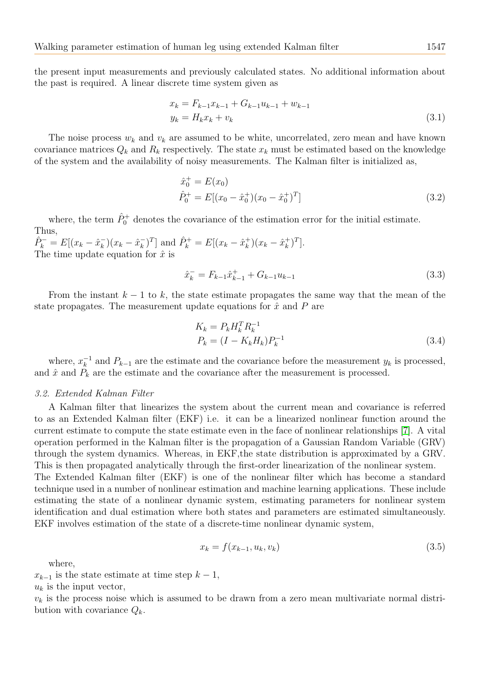the present input measurements and previously calculated states. No additional information about the past is required. A linear discrete time system given as

$$
x_k = F_{k-1}x_{k-1} + G_{k-1}u_{k-1} + w_{k-1}
$$
  
\n
$$
y_k = H_kx_k + v_k
$$
\n(3.1)

The noise process  $w_k$  and  $v_k$  are assumed to be white, uncorrelated, zero mean and have known covariance matrices  $Q_k$  and  $R_k$  respectively. The state  $x_k$  must be estimated based on the knowledge of the system and the availability of noisy measurements. The Kalman filter is initialized as,

$$
\hat{x}_0^+ = E(x_0) \n\hat{P}_0^+ = E[(x_0 - \hat{x}_0^+)(x_0 - \hat{x}_0^+)^T]
$$
\n(3.2)

where, the term  $\hat{P}_0^+$  denotes the covariance of the estimation error for the initial estimate. Thus,

 $\hat{P}_k^- = E[(x_k - \hat{x}_k^-)]$  $(\bar{x}_k) (x_k - \hat{x}_k^-)$  $(\bar{k}_k)^T$  and  $\hat{P}_k^+ = E[(x_k - \hat{x}_k^+)]$  $(\vec{k})^{\dagger}(x_k - \hat{x}_k^+)$  $\binom{+}{k}$ <sup>T</sup>]. The time update equation for  $\hat{x}$  is

$$
\hat{x}_k^- = F_{k-1}\hat{x}_{k-1}^+ + G_{k-1}u_{k-1} \tag{3.3}
$$

From the instant  $k-1$  to k, the state estimate propagates the same way that the mean of the state propagates. The measurement update equations for  $\hat{x}$  and P are

$$
K_k = P_k H_k^T R_k^{-1}
$$
  
\n
$$
P_k = (I - K_k H_k) P_k^{-1}
$$
\n(3.4)

where,  $x_k^{-1}$  $k^{-1}$  and  $P_{k-1}$  are the estimate and the covariance before the measurement  $y_k$  is processed, and  $\hat{x}$  and  $P_k$  are the estimate and the covariance after the measurement is processed.

### 3.2. Extended Kalman Filter

A Kalman filter that linearizes the system about the current mean and covariance is referred to as an Extended Kalman filter (EKF) i.e. it can be a linearized nonlinear function around the current estimate to compute the state estimate even in the face of nonlinear relationships [\[7\]](#page-11-8). A vital operation performed in the Kalman filter is the propagation of a Gaussian Random Variable (GRV) through the system dynamics. Whereas, in EKF,the state distribution is approximated by a GRV. This is then propagated analytically through the first-order linearization of the nonlinear system.

The Extended Kalman filter (EKF) is one of the nonlinear filter which has become a standard technique used in a number of nonlinear estimation and machine learning applications. These include estimating the state of a nonlinear dynamic system, estimating parameters for nonlinear system identification and dual estimation where both states and parameters are estimated simultaneously. EKF involves estimation of the state of a discrete-time nonlinear dynamic system,

<span id="page-6-0"></span>
$$
x_k = f(x_{k-1}, u_k, v_k)
$$
\n(3.5)

where,

 $x_{k-1}$  is the state estimate at time step  $k-1$ ,

 $u_k$  is the input vector,

 $v_k$  is the process noise which is assumed to be drawn from a zero mean multivariate normal distribution with covariance  $Q_k$ .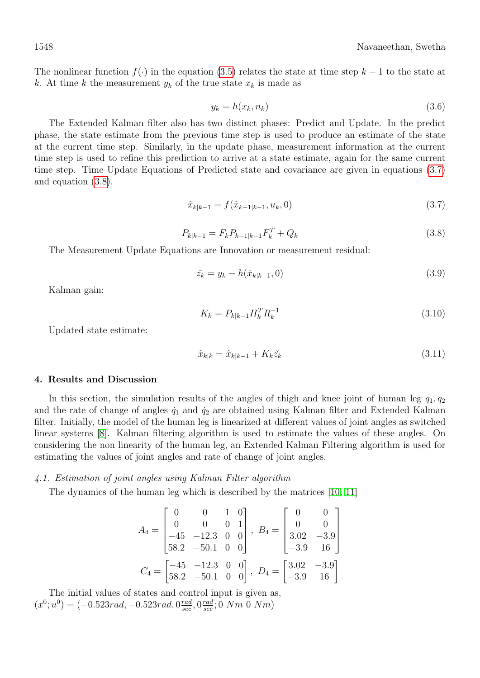The nonlinear function  $f(\cdot)$  in the equation [\(3.5\)](#page-6-0) relates the state at time step  $k-1$  to the state at k. At time k the measurement  $y_k$  of the true state  $x_k$  is made as

$$
y_k = h(x_k, n_k) \tag{3.6}
$$

The Extended Kalman filter also has two distinct phases: Predict and Update. In the predict phase, the state estimate from the previous time step is used to produce an estimate of the state at the current time step. Similarly, in the update phase, measurement information at the current time step is used to refine this prediction to arrive at a state estimate, again for the same current time step. Time Update Equations of Predicted state and covariance are given in equations [\(3.7\)](#page-7-1) and equation [\(3.8\)](#page-7-2).

<span id="page-7-1"></span>
$$
\hat{x}_{k|k-1} = f(\hat{x}_{k-1|k-1}, u_k, 0) \tag{3.7}
$$

<span id="page-7-2"></span>
$$
P_{k|k-1} = F_k P_{k-1|k-1} F_k^T + Q_k
$$
\n(3.8)

The Measurement Update Equations are Innovation or measurement residual:

$$
\tilde{z}_k = y_k - h(\hat{x}_{k|k-1}, 0) \tag{3.9}
$$

Kalman gain:

$$
K_k = P_{k|k-1} H_k^T R_k^{-1}
$$
\n(3.10)

Updated state estimate:

$$
\hat{x}_{k|k} = \hat{x}_{k|k-1} + K_k \check{z}_k \tag{3.11}
$$

#### <span id="page-7-0"></span>4. Results and Discussion

In this section, the simulation results of the angles of thigh and knee joint of human leg  $q_1, q_2$ and the rate of change of angles  $\dot{q}_1$  and  $\dot{q}_2$  are obtained using Kalman filter and Extended Kalman filter. Initially, the model of the human leg is linearized at different values of joint angles as switched linear systems [\[8\]](#page-11-9). Kalman filtering algorithm is used to estimate the values of these angles. On considering the non linearity of the human leg, an Extended Kalman Filtering algorithm is used for estimating the values of joint angles and rate of change of joint angles.

#### 4.1. Estimation of joint angles using Kalman Filter algorithm

The dynamics of the human leg which is described by the matrices [\[10,](#page-11-10) [11\]](#page-11-11)

$$
A_4 = \begin{bmatrix} 0 & 0 & 1 & 0 \\ 0 & 0 & 0 & 1 \\ -45 & -12.3 & 0 & 0 \\ 58.2 & -50.1 & 0 & 0 \end{bmatrix}, B_4 = \begin{bmatrix} 0 & 0 \\ 0 & 0 \\ 3.02 & -3.9 \\ -3.9 & 16 \end{bmatrix}
$$

$$
C_4 = \begin{bmatrix} -45 & -12.3 & 0 & 0 \\ 58.2 & -50.1 & 0 & 0 \end{bmatrix}, D_4 = \begin{bmatrix} 3.02 & -3.9 \\ -3.9 & 16 \end{bmatrix}
$$

The initial values of states and control input is given as,  $(x^0; u^0) = (-0.523rad, -0.523rad, 0 \frac{rad}{sec})$  $\frac{rad}{sec}, 0 \frac{rad}{sec}$  $\frac{rad}{sec}$ ; 0  $Nm$  0  $Nm)$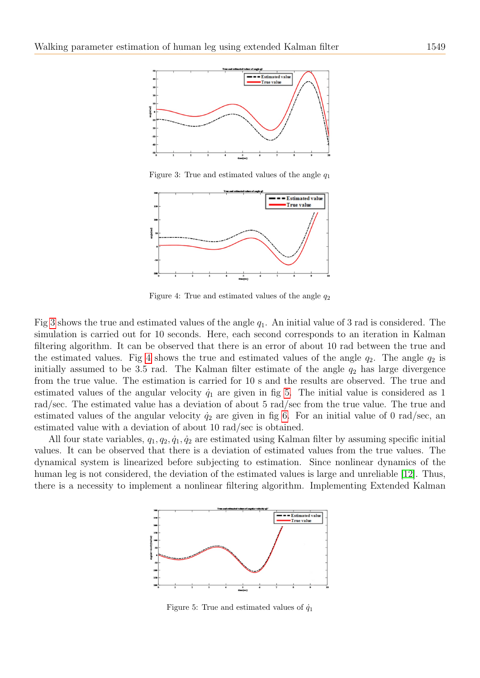

<span id="page-8-0"></span>Figure 3: True and estimated values of the angle  $q_1$ 



<span id="page-8-1"></span>Figure 4: True and estimated values of the angle  $q_2$ 

Fig [3](#page-8-0) shows the true and estimated values of the angle  $q_1$ . An initial value of 3 rad is considered. The simulation is carried out for 10 seconds. Here, each second corresponds to an iteration in Kalman filtering algorithm. It can be observed that there is an error of about 10 rad between the true and the estimated values. Fig [4](#page-8-1) shows the true and estimated values of the angle  $q_2$ . The angle  $q_2$  is initially assumed to be 3.5 rad. The Kalman filter estimate of the angle  $q_2$  has large divergence from the true value. The estimation is carried for 10 s and the results are observed. The true and estimated values of the angular velocity  $\dot{q}_1$  are given in fig [5.](#page-8-2) The initial value is considered as 1 rad/sec. The estimated value has a deviation of about 5 rad/sec from the true value. The true and estimated values of the angular velocity  $\dot{q}_2$  are given in fig [6.](#page-9-0) For an initial value of 0 rad/sec, an estimated value with a deviation of about 10 rad/sec is obtained.

All four state variables,  $q_1, q_2, \dot{q}_1, \dot{q}_2$  are estimated using Kalman filter by assuming specific initial values. It can be observed that there is a deviation of estimated values from the true values. The dynamical system is linearized before subjecting to estimation. Since nonlinear dynamics of the human leg is not considered, the deviation of the estimated values is large and unreliable [\[12\]](#page-11-12). Thus, there is a necessity to implement a nonlinear filtering algorithm. Implementing Extended Kalman



<span id="page-8-2"></span>Figure 5: True and estimated values of  $\dot{q}_1$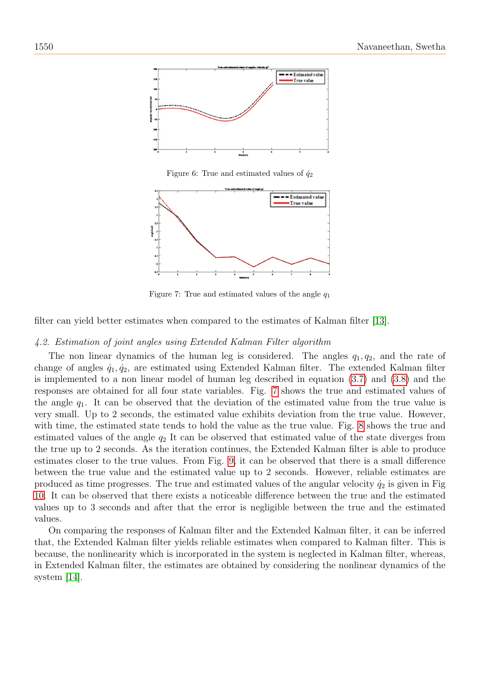

<span id="page-9-0"></span>Figure 6: True and estimated values of  $\dot{q}_2$ 



<span id="page-9-1"></span>Figure 7: True and estimated values of the angle  $q_1$ 

filter can yield better estimates when compared to the estimates of Kalman filter [\[13\]](#page-11-13).

## 4.2. Estimation of joint angles using Extended Kalman Filter algorithm

The non linear dynamics of the human leg is considered. The angles  $q_1, q_2$ , and the rate of change of angles  $\dot{q}_1, \dot{q}_2$ , are estimated using Extended Kalman filter. The extended Kalman filter is implemented to a non linear model of human leg described in equation [\(3.7\)](#page-7-1) and [\(3.8\)](#page-7-2) and the responses are obtained for all four state variables. Fig. [7](#page-9-1) shows the true and estimated values of the angle  $q_1$ . It can be observed that the deviation of the estimated value from the true value is very small. Up to 2 seconds, the estimated value exhibits deviation from the true value. However, with time, the estimated state tends to hold the value as the true value. Fig. [8](#page-10-0) shows the true and estimated values of the angle  $q_2$  It can be observed that estimated value of the state diverges from the true up to 2 seconds. As the iteration continues, the Extended Kalman filter is able to produce estimates closer to the true values. From Fig. [9,](#page-10-1) it can be observed that there is a small difference between the true value and the estimated value up to 2 seconds. However, reliable estimates are produced as time progresses. The true and estimated values of the angular velocity  $\dot{q}_2$  is given in Fig. [10.](#page-10-2) It can be observed that there exists a noticeable difference between the true and the estimated values up to 3 seconds and after that the error is negligible between the true and the estimated values.

On comparing the responses of Kalman filter and the Extended Kalman filter, it can be inferred that, the Extended Kalman filter yields reliable estimates when compared to Kalman filter. This is because, the nonlinearity which is incorporated in the system is neglected in Kalman filter, whereas, in Extended Kalman filter, the estimates are obtained by considering the nonlinear dynamics of the system [\[14\]](#page-11-14).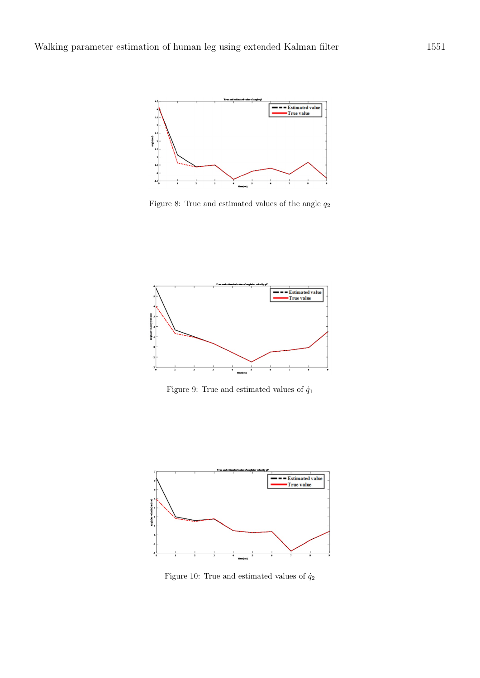

<span id="page-10-0"></span>Figure 8: True and estimated values of the angle  $q_2$ 



<span id="page-10-1"></span>Figure 9: True and estimated values of  $\dot{q}_1$ 



<span id="page-10-2"></span>Figure 10: True and estimated values of  $\dot{q}_2$